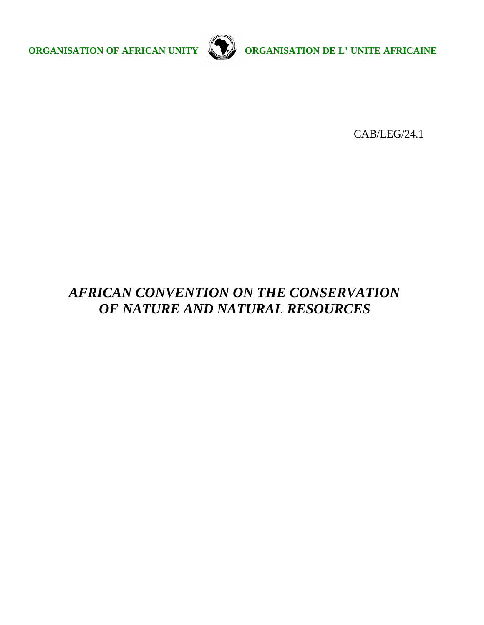

**ORGANISATION OF AFRICAN UNITY CONGANISATION DE L'UNITE AFRICAINE** 

CAB/LEG/24.1

# *AFRICAN CONVENTION ON THE CONSERVATION OF NATURE AND NATURAL RESOURCES*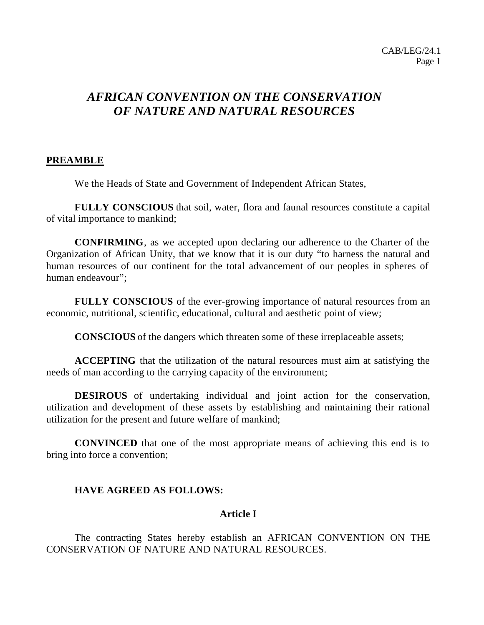# *AFRICAN CONVENTION ON THE CONSERVATION OF NATURE AND NATURAL RESOURCES*

# **PREAMBLE**

We the Heads of State and Government of Independent African States,

**FULLY CONSCIOUS** that soil, water, flora and faunal resources constitute a capital of vital importance to mankind;

**CONFIRMING**, as we accepted upon declaring our adherence to the Charter of the Organization of African Unity, that we know that it is our duty "to harness the natural and human resources of our continent for the total advancement of our peoples in spheres of human endeavour";

**FULLY CONSCIOUS** of the ever-growing importance of natural resources from an economic, nutritional, scientific, educational, cultural and aesthetic point of view;

**CONSCIOUS** of the dangers which threaten some of these irreplaceable assets;

**ACCEPTING** that the utilization of the natural resources must aim at satisfying the needs of man according to the carrying capacity of the environment;

**DESIROUS** of undertaking individual and joint action for the conservation, utilization and development of these assets by establishing and maintaining their rational utilization for the present and future welfare of mankind;

**CONVINCED** that one of the most appropriate means of achieving this end is to bring into force a convention;

#### **HAVE AGREED AS FOLLOWS:**

#### **Article I**

The contracting States hereby establish an AFRICAN CONVENTION ON THE CONSERVATION OF NATURE AND NATURAL RESOURCES.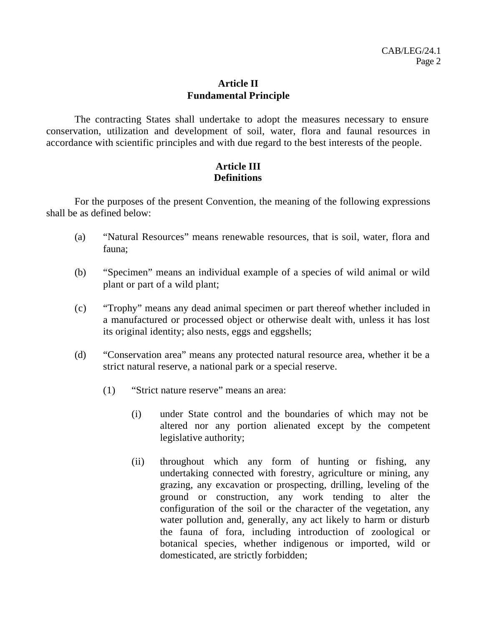# **Article II Fundamental Principle**

The contracting States shall undertake to adopt the measures necessary to ensure conservation, utilization and development of soil, water, flora and faunal resources in accordance with scientific principles and with due regard to the best interests of the people.

# **Article III Definitions**

For the purposes of the present Convention, the meaning of the following expressions shall be as defined below:

- (a) "Natural Resources" means renewable resources, that is soil, water, flora and fauna;
- (b) "Specimen" means an individual example of a species of wild animal or wild plant or part of a wild plant;
- (c) "Trophy" means any dead animal specimen or part thereof whether included in a manufactured or processed object or otherwise dealt with, unless it has lost its original identity; also nests, eggs and eggshells;
- (d) "Conservation area" means any protected natural resource area, whether it be a strict natural reserve, a national park or a special reserve.
	- (1) "Strict nature reserve" means an area:
		- (i) under State control and the boundaries of which may not be altered nor any portion alienated except by the competent legislative authority;
		- (ii) throughout which any form of hunting or fishing, any undertaking connected with forestry, agriculture or mining, any grazing, any excavation or prospecting, drilling, leveling of the ground or construction, any work tending to alter the configuration of the soil or the character of the vegetation, any water pollution and, generally, any act likely to harm or disturb the fauna of fora, including introduction of zoological or botanical species, whether indigenous or imported, wild or domesticated, are strictly forbidden;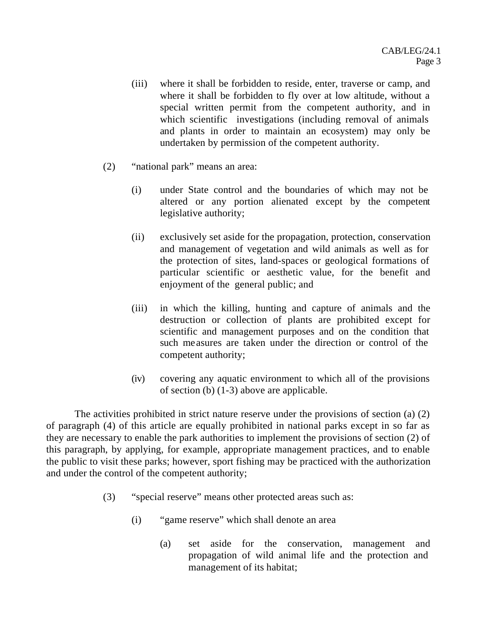- (iii) where it shall be forbidden to reside, enter, traverse or camp, and where it shall be forbidden to fly over at low altitude, without a special written permit from the competent authority, and in which scientific investigations (including removal of animals and plants in order to maintain an ecosystem) may only be undertaken by permission of the competent authority.
- (2) "national park" means an area:
	- (i) under State control and the boundaries of which may not be altered or any portion alienated except by the competent legislative authority;
	- (ii) exclusively set aside for the propagation, protection, conservation and management of vegetation and wild animals as well as for the protection of sites, land-spaces or geological formations of particular scientific or aesthetic value, for the benefit and enjoyment of the general public; and
	- (iii) in which the killing, hunting and capture of animals and the destruction or collection of plants are prohibited except for scientific and management purposes and on the condition that such measures are taken under the direction or control of the competent authority;
	- (iv) covering any aquatic environment to which all of the provisions of section (b) (1-3) above are applicable.

The activities prohibited in strict nature reserve under the provisions of section (a) (2) of paragraph (4) of this article are equally prohibited in national parks except in so far as they are necessary to enable the park authorities to implement the provisions of section (2) of this paragraph, by applying, for example, appropriate management practices, and to enable the public to visit these parks; however, sport fishing may be practiced with the authorization and under the control of the competent authority;

- (3) "special reserve" means other protected areas such as:
	- (i) "game reserve" which shall denote an area
		- (a) set aside for the conservation, management and propagation of wild animal life and the protection and management of its habitat;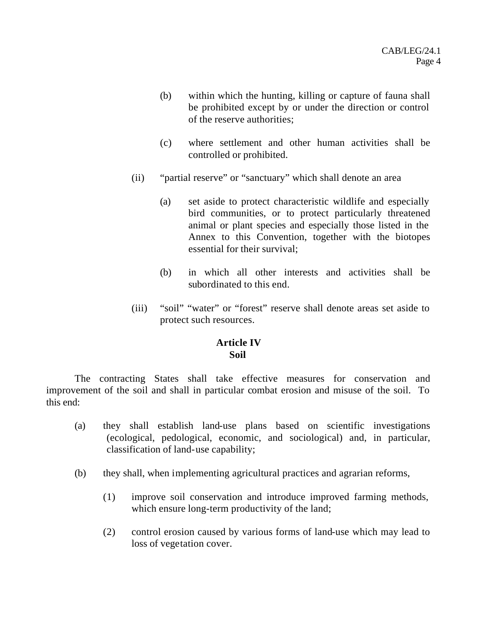- (b) within which the hunting, killing or capture of fauna shall be prohibited except by or under the direction or control of the reserve authorities;
- (c) where settlement and other human activities shall be controlled or prohibited.
- (ii) "partial reserve" or "sanctuary" which shall denote an area
	- (a) set aside to protect characteristic wildlife and especially bird communities, or to protect particularly threatened animal or plant species and especially those listed in the Annex to this Convention, together with the biotopes essential for their survival;
	- (b) in which all other interests and activities shall be subordinated to this end.
- (iii) "soil" "water" or "forest" reserve shall denote areas set aside to protect such resources.

# **Article IV Soil**

The contracting States shall take effective measures for conservation and improvement of the soil and shall in particular combat erosion and misuse of the soil. To this end:

- (a) they shall establish land-use plans based on scientific investigations (ecological, pedological, economic, and sociological) and, in particular, classification of land-use capability;
- (b) they shall, when implementing agricultural practices and agrarian reforms,
	- (1) improve soil conservation and introduce improved farming methods, which ensure long-term productivity of the land;
	- (2) control erosion caused by various forms of land-use which may lead to loss of vegetation cover.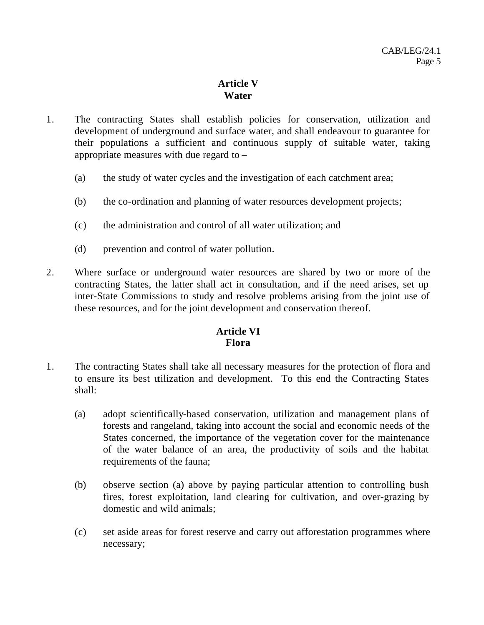# **Article V Water**

- 1. The contracting States shall establish policies for conservation, utilization and development of underground and surface water, and shall endeavour to guarantee for their populations a sufficient and continuous supply of suitable water, taking appropriate measures with due regard to –
	- (a) the study of water cycles and the investigation of each catchment area;
	- (b) the co-ordination and planning of water resources development projects;
	- (c) the administration and control of all water utilization; and
	- (d) prevention and control of water pollution.
- 2. Where surface or underground water resources are shared by two or more of the contracting States, the latter shall act in consultation, and if the need arises, set up inter-State Commissions to study and resolve problems arising from the joint use of these resources, and for the joint development and conservation thereof.

# **Article VI Flora**

- 1. The contracting States shall take all necessary measures for the protection of flora and to ensure its best utilization and development. To this end the Contracting States shall:
	- (a) adopt scientifically-based conservation, utilization and management plans of forests and rangeland, taking into account the social and economic needs of the States concerned, the importance of the vegetation cover for the maintenance of the water balance of an area, the productivity of soils and the habitat requirements of the fauna;
	- (b) observe section (a) above by paying particular attention to controlling bush fires, forest exploitation, land clearing for cultivation, and over-grazing by domestic and wild animals;
	- (c) set aside areas for forest reserve and carry out afforestation programmes where necessary;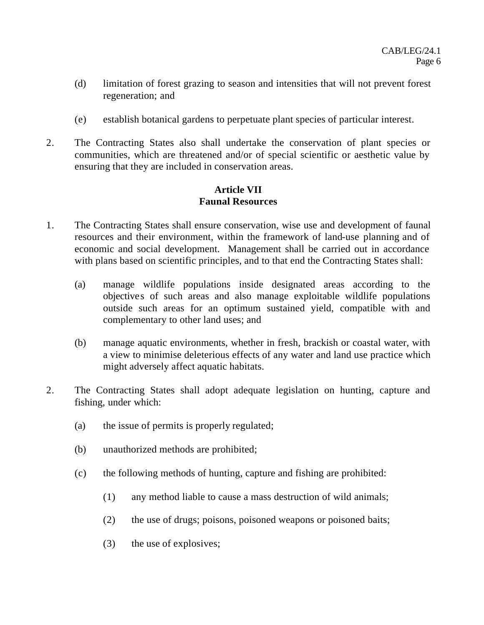- (d) limitation of forest grazing to season and intensities that will not prevent forest regeneration; and
- (e) establish botanical gardens to perpetuate plant species of particular interest.
- 2. The Contracting States also shall undertake the conservation of plant species or communities, which are threatened and/or of special scientific or aesthetic value by ensuring that they are included in conservation areas.

# **Article VII Faunal Resources**

- 1. The Contracting States shall ensure conservation, wise use and development of faunal resources and their environment, within the framework of land-use planning and of economic and social development. Management shall be carried out in accordance with plans based on scientific principles, and to that end the Contracting States shall:
	- (a) manage wildlife populations inside designated areas according to the objectives of such areas and also manage exploitable wildlife populations outside such areas for an optimum sustained yield, compatible with and complementary to other land uses; and
	- (b) manage aquatic environments, whether in fresh, brackish or coastal water, with a view to minimise deleterious effects of any water and land use practice which might adversely affect aquatic habitats.
- 2. The Contracting States shall adopt adequate legislation on hunting, capture and fishing, under which:
	- (a) the issue of permits is properly regulated;
	- (b) unauthorized methods are prohibited;
	- (c) the following methods of hunting, capture and fishing are prohibited:
		- (1) any method liable to cause a mass destruction of wild animals;
		- (2) the use of drugs; poisons, poisoned weapons or poisoned baits;
		- (3) the use of explosives;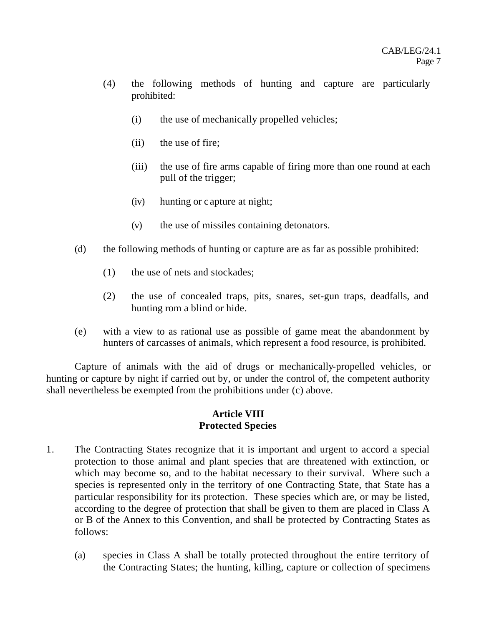- (4) the following methods of hunting and capture are particularly prohibited:
	- (i) the use of mechanically propelled vehicles;
	- (ii) the use of fire;
	- (iii) the use of fire arms capable of firing more than one round at each pull of the trigger;
	- (iv) hunting or c apture at night;
	- (v) the use of missiles containing detonators.
- (d) the following methods of hunting or capture are as far as possible prohibited:
	- (1) the use of nets and stockades;
	- (2) the use of concealed traps, pits, snares, set-gun traps, deadfalls, and hunting rom a blind or hide.
- (e) with a view to as rational use as possible of game meat the abandonment by hunters of carcasses of animals, which represent a food resource, is prohibited.

Capture of animals with the aid of drugs or mechanically-propelled vehicles, or hunting or capture by night if carried out by, or under the control of, the competent authority shall nevertheless be exempted from the prohibitions under (c) above.

## **Article VIII Protected Species**

- 1. The Contracting States recognize that it is important and urgent to accord a special protection to those animal and plant species that are threatened with extinction, or which may become so, and to the habitat necessary to their survival. Where such a species is represented only in the territory of one Contracting State, that State has a particular responsibility for its protection. These species which are, or may be listed, according to the degree of protection that shall be given to them are placed in Class A or B of the Annex to this Convention, and shall be protected by Contracting States as follows:
	- (a) species in Class A shall be totally protected throughout the entire territory of the Contracting States; the hunting, killing, capture or collection of specimens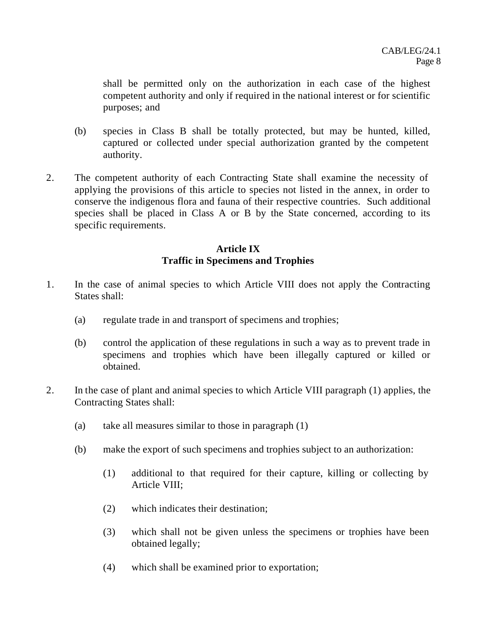shall be permitted only on the authorization in each case of the highest competent authority and only if required in the national interest or for scientific purposes; and

- (b) species in Class B shall be totally protected, but may be hunted, killed, captured or collected under special authorization granted by the competent authority.
- 2. The competent authority of each Contracting State shall examine the necessity of applying the provisions of this article to species not listed in the annex, in order to conserve the indigenous flora and fauna of their respective countries. Such additional species shall be placed in Class A or B by the State concerned, according to its specific requirements.

# **Article IX Traffic in Specimens and Trophies**

- 1. In the case of animal species to which Article VIII does not apply the Contracting States shall:
	- (a) regulate trade in and transport of specimens and trophies;
	- (b) control the application of these regulations in such a way as to prevent trade in specimens and trophies which have been illegally captured or killed or obtained.
- 2. In the case of plant and animal species to which Article VIII paragraph (1) applies, the Contracting States shall:
	- (a) take all measures similar to those in paragraph (1)
	- (b) make the export of such specimens and trophies subject to an authorization:
		- (1) additional to that required for their capture, killing or collecting by Article VIII;
		- (2) which indicates their destination;
		- (3) which shall not be given unless the specimens or trophies have been obtained legally;
		- (4) which shall be examined prior to exportation;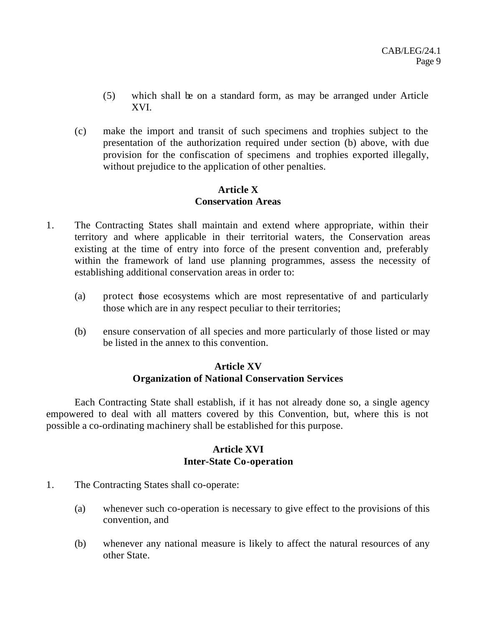- (5) which shall be on a standard form, as may be arranged under Article XVI.
- (c) make the import and transit of such specimens and trophies subject to the presentation of the authorization required under section (b) above, with due provision for the confiscation of specimens and trophies exported illegally, without prejudice to the application of other penalties.

# **Article X Conservation Areas**

- 1. The Contracting States shall maintain and extend where appropriate, within their territory and where applicable in their territorial waters, the Conservation areas existing at the time of entry into force of the present convention and, preferably within the framework of land use planning programmes, assess the necessity of establishing additional conservation areas in order to:
	- (a) protect those ecosystems which are most representative of and particularly those which are in any respect peculiar to their territories;
	- (b) ensure conservation of all species and more particularly of those listed or may be listed in the annex to this convention.

# **Article XV Organization of National Conservation Services**

Each Contracting State shall establish, if it has not already done so, a single agency empowered to deal with all matters covered by this Convention, but, where this is not possible a co-ordinating machinery shall be established for this purpose.

# **Article XVI Inter-State Co-operation**

- 1. The Contracting States shall co-operate:
	- (a) whenever such co-operation is necessary to give effect to the provisions of this convention, and
	- (b) whenever any national measure is likely to affect the natural resources of any other State.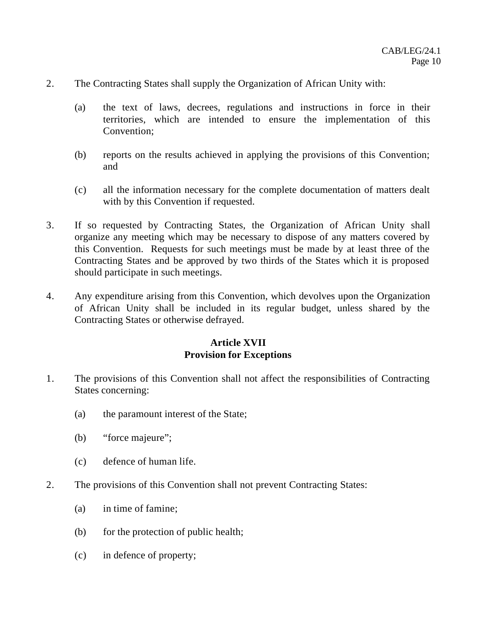- 2. The Contracting States shall supply the Organization of African Unity with:
	- (a) the text of laws, decrees, regulations and instructions in force in their territories, which are intended to ensure the implementation of this Convention;
	- (b) reports on the results achieved in applying the provisions of this Convention; and
	- (c) all the information necessary for the complete documentation of matters dealt with by this Convention if requested.
- 3. If so requested by Contracting States, the Organization of African Unity shall organize any meeting which may be necessary to dispose of any matters covered by this Convention. Requests for such meetings must be made by at least three of the Contracting States and be approved by two thirds of the States which it is proposed should participate in such meetings.
- 4. Any expenditure arising from this Convention, which devolves upon the Organization of African Unity shall be included in its regular budget, unless shared by the Contracting States or otherwise defrayed.

# **Article XVII Provision for Exceptions**

- 1. The provisions of this Convention shall not affect the responsibilities of Contracting States concerning:
	- (a) the paramount interest of the State;
	- (b) "force majeure";
	- (c) defence of human life.
- 2. The provisions of this Convention shall not prevent Contracting States:
	- (a) in time of famine;
	- (b) for the protection of public health;
	- (c) in defence of property;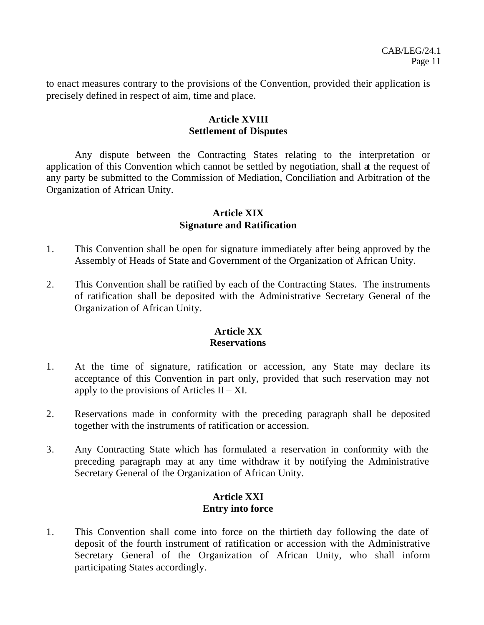to enact measures contrary to the provisions of the Convention, provided their application is precisely defined in respect of aim, time and place.

## **Article XVIII Settlement of Disputes**

Any dispute between the Contracting States relating to the interpretation or application of this Convention which cannot be settled by negotiation, shall at the request of any party be submitted to the Commission of Mediation, Conciliation and Arbitration of the Organization of African Unity.

#### **Article XIX Signature and Ratification**

- 1. This Convention shall be open for signature immediately after being approved by the Assembly of Heads of State and Government of the Organization of African Unity.
- 2. This Convention shall be ratified by each of the Contracting States. The instruments of ratification shall be deposited with the Administrative Secretary General of the Organization of African Unity.

# **Article XX Reservations**

- 1. At the time of signature, ratification or accession, any State may declare its acceptance of this Convention in part only, provided that such reservation may not apply to the provisions of Articles  $II - XI$ .
- 2. Reservations made in conformity with the preceding paragraph shall be deposited together with the instruments of ratification or accession.
- 3. Any Contracting State which has formulated a reservation in conformity with the preceding paragraph may at any time withdraw it by notifying the Administrative Secretary General of the Organization of African Unity.

# **Article XXI Entry into force**

1. This Convention shall come into force on the thirtieth day following the date of deposit of the fourth instrument of ratification or accession with the Administrative Secretary General of the Organization of African Unity, who shall inform participating States accordingly.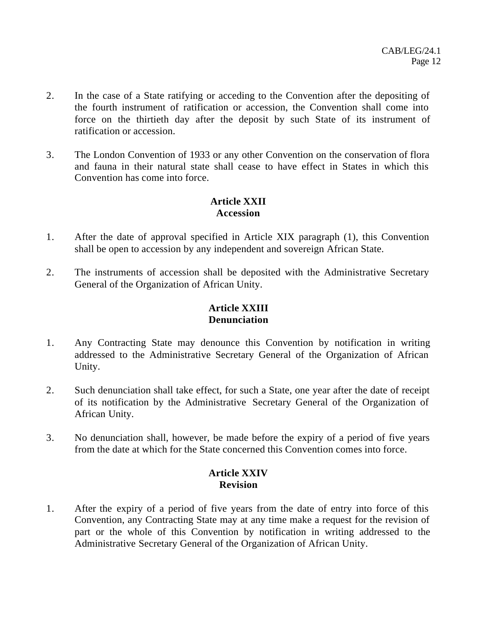- 2. In the case of a State ratifying or acceding to the Convention after the depositing of the fourth instrument of ratification or accession, the Convention shall come into force on the thirtieth day after the deposit by such State of its instrument of ratification or accession.
- 3. The London Convention of 1933 or any other Convention on the conservation of flora and fauna in their natural state shall cease to have effect in States in which this Convention has come into force.

# **Article XXII Accession**

- 1. After the date of approval specified in Article XIX paragraph (1), this Convention shall be open to accession by any independent and sovereign African State.
- 2. The instruments of accession shall be deposited with the Administrative Secretary General of the Organization of African Unity.

# **Article XXIII Denunciation**

- 1. Any Contracting State may denounce this Convention by notification in writing addressed to the Administrative Secretary General of the Organization of African Unity.
- 2. Such denunciation shall take effect, for such a State, one year after the date of receipt of its notification by the Administrative Secretary General of the Organization of African Unity.
- 3. No denunciation shall, however, be made before the expiry of a period of five years from the date at which for the State concerned this Convention comes into force.

# **Article XXIV Revision**

1. After the expiry of a period of five years from the date of entry into force of this Convention, any Contracting State may at any time make a request for the revision of part or the whole of this Convention by notification in writing addressed to the Administrative Secretary General of the Organization of African Unity.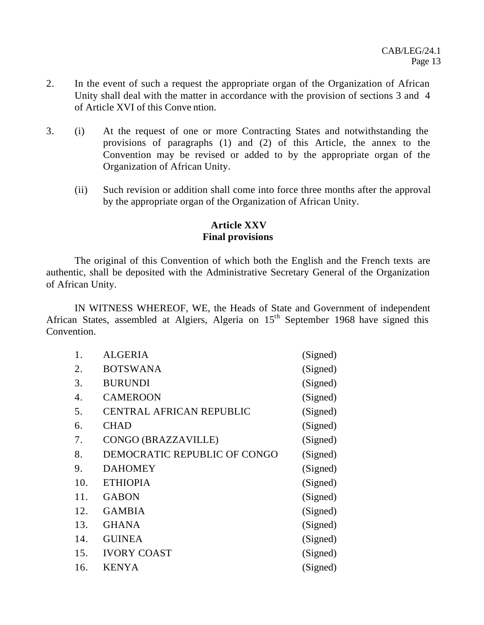- 2. In the event of such a request the appropriate organ of the Organization of African Unity shall deal with the matter in accordance with the provision of sections 3 and 4 of Article XVI of this Conve ntion.
- 3. (i) At the request of one or more Contracting States and notwithstanding the provisions of paragraphs (1) and (2) of this Article, the annex to the Convention may be revised or added to by the appropriate organ of the Organization of African Unity.
	- (ii) Such revision or addition shall come into force three months after the approval by the appropriate organ of the Organization of African Unity.

# **Article XXV Final provisions**

The original of this Convention of which both the English and the French texts are authentic, shall be deposited with the Administrative Secretary General of the Organization of African Unity.

IN WITNESS WHEREOF, WE, the Heads of State and Government of independent African States, assembled at Algiers, Algeria on  $15<sup>th</sup>$  September 1968 have signed this Convention.

| 1.  | <b>ALGERIA</b>                  | (Signed) |
|-----|---------------------------------|----------|
| 2.  | <b>BOTSWANA</b>                 | (Signed) |
| 3.  | <b>BURUNDI</b>                  | (Signed) |
| 4.  | <b>CAMEROON</b>                 | (Signed) |
| 5.  | <b>CENTRAL AFRICAN REPUBLIC</b> | (Signed) |
| 6.  | <b>CHAD</b>                     | (Signed) |
| 7.  | CONGO (BRAZZAVILLE)             | (Signed) |
| 8.  | DEMOCRATIC REPUBLIC OF CONGO    | (Signed) |
| 9.  | <b>DAHOMEY</b>                  | (Signed) |
| 10. | <b>ETHIOPIA</b>                 | (Signed) |
| 11. | <b>GABON</b>                    | (Signed) |
| 12. | <b>GAMBIA</b>                   | (Signed) |
| 13. | <b>GHANA</b>                    | (Signed) |
| 14. | <b>GUINEA</b>                   | (Signed) |
| 15. | <b>IVORY COAST</b>              | (Signed) |
| 16. | <b>KENYA</b>                    | (Signed) |
|     |                                 |          |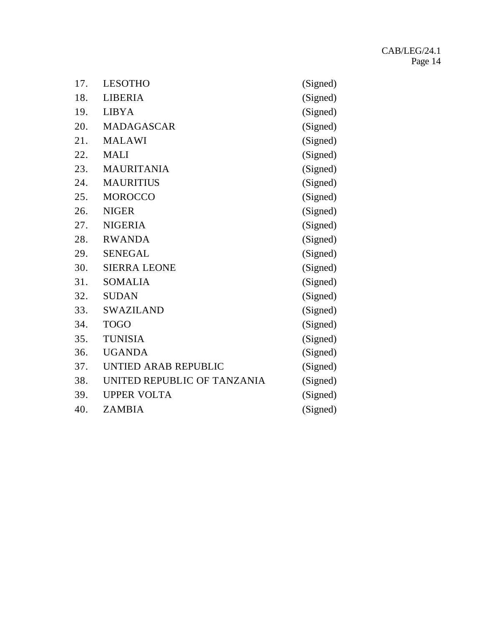| 17. | <b>LESOTHO</b>              | (Signed) |
|-----|-----------------------------|----------|
| 18. | <b>LIBERIA</b>              | (Signed) |
| 19. | <b>LIBYA</b>                | (Signed) |
| 20. | <b>MADAGASCAR</b>           | (Signed) |
| 21. | <b>MALAWI</b>               | (Signed) |
| 22. | <b>MALI</b>                 | (Signed) |
| 23. | <b>MAURITANIA</b>           | (Signed) |
| 24. | <b>MAURITIUS</b>            | (Signed) |
| 25. | <b>MOROCCO</b>              | (Signed) |
| 26. | <b>NIGER</b>                | (Signed) |
| 27. | <b>NIGERIA</b>              | (Signed) |
| 28. | <b>RWANDA</b>               | (Signed) |
| 29. | <b>SENEGAL</b>              | (Signed) |
| 30. | <b>SIERRA LEONE</b>         | (Signed) |
| 31. | <b>SOMALIA</b>              | (Signed) |
| 32. | <b>SUDAN</b>                | (Signed) |
| 33. | <b>SWAZILAND</b>            | (Signed) |
| 34. | <b>TOGO</b>                 | (Signed) |
| 35. | <b>TUNISIA</b>              | (Signed) |
| 36. | <b>UGANDA</b>               | (Signed) |
| 37. | <b>UNTIED ARAB REPUBLIC</b> | (Signed) |
| 38. | UNITED REPUBLIC OF TANZANIA | (Signed) |
| 39. | <b>UPPER VOLTA</b>          | (Signed) |
| 40. | <b>ZAMBIA</b>               | (Signed) |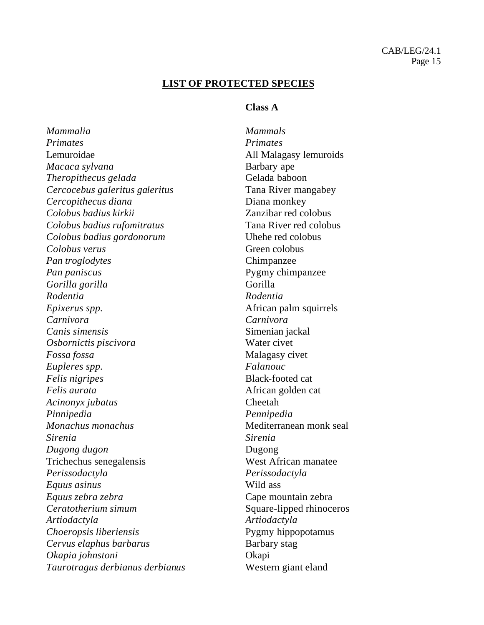#### CAB/LEG/24.1 Page 15

#### **LIST OF PROTECTED SPECIES**

#### **Class A**

*Mammalia Mammals Primates Primates* Lemuroidae All Malagasy lemuroids *Macaca sylvana* Barbary ape *Theropithecus gelada* Gelada baboon *Cercocebus galeritus galeritus* Tana River mangabey *Cercopithecus diana* Diana monkey *Colobus badius kirkii* Zanzibar red colobus *Colobus badius rufomitratus* Tana River red colobus *Colobus badius gordonorum* Uhehe red colobus *Colobus verus* Green colobus *Pan troglodytes* Chimpanzee *Pan paniscus* Pygmy chimpanzee *Gorilla gorilla* Gorilla *Rodentia Rodentia Epixerus spp.* African palm squirrels *Carnivora Carnivora Canis simensis* Simenian jackal *Osbornictis piscivora* Water civet *Fossa fossa* Malagasy civet *Eupleres spp. Falanouc Felis nigripes* Black-footed cat *Felis aurata* African golden cat *Acinonyx jubatus* Cheetah *Pinnipedia Pennipedia Monachus monachus* Mediterranean monk seal *Sirenia Sirenia Dugong dugon* Dugong Trichechus senegalensis West African manatee *Perissodactyla Perissodactyla Equus asinus* Wild ass *Equus zebra zebra* Cape mountain zebra *Ceratotherium simum* Square-lipped rhinoceros *Artiodactyla Artiodactyla Choeropsis liberiensis* Pygmy hippopotamus *Cervus elaphus barbarus* Barbary stag *Okapia johnstoni* Okapi *Taurotragus derbianus derbianus* Western giant eland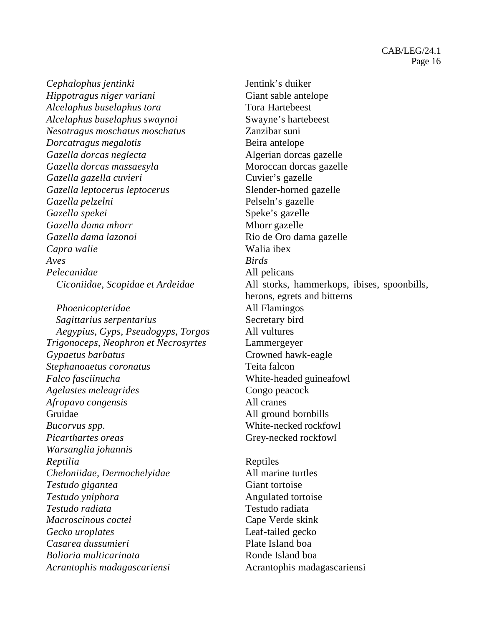*Cephalophus jentinki* Jentink's duiker *Hippotragus niger variani* Giant sable antelope *Alcelaphus buselaphus tora* Tora Hartebeest *Alcelaphus buselaphus swaynoi* Swayne's hartebeest *Nesotragus moschatus moschatus* Zanzibar suni *Dorcatragus megalotis* Beira antelope Gazella dorcas neglecta **Algerian dorcas gazelle** *Gazella dorcas massaesyla* Moroccan dorcas gazelle *Gazella gazella cuvieri* Cuvier's gazelle *Gazella leptocerus leptocerus* Slender-horned gazelle *Gazella pelzelni* Pelseln's gazelle *Gazella spekei* Speke's gazelle *Gazella dama mhorr* Mhorr gazelle *Gazella dama lazonoi* Rio de Oro dama gazelle *Capra walie* Walia ibex *Aves Birds Pelecanidae* All pelicans

*Phoenicopteridae* All Flamingos *Sagittarius serpentarius* Secretary bird *Aegypius, Gyps, Pseudogyps, Torgos* All vultures *Trigonoceps, Neophron et Necrosyrtes* Lammergeyer *Gypaetus barbatus* Crowned hawk-eagle *Stephanoaetus coronatus* Teita falcon *Falco fasciinucha* White-headed guineafowl *Agelastes meleagrides* Congo peacock *Afropavo congensis* All cranes Gruidae All ground bornbills *Bucorvus spp.* White-necked rockfowl *Picarthartes oreas* Grey-necked rockfowl *Warsanglia johannis Reptilia* Reptiles *Cheloniidae, Dermochelyidae* All marine turtles *Testudo gigantea* Giant tortoise *Testudo yniphora* Angulated tortoise *Testudo radiata* Testudo radiata *Macroscinous coctei* Cape Verde skink *Gecko uroplates* Leaf-tailed gecko *Casarea dussumieri* Plate Island boa *Bolioria multicarinata* Ronde Island boa *Acrantophis madagascariensi* Acrantophis madagascariensi

 *Ciconiidae, Scopidae et Ardeidae* All storks, hammerkops, ibises, spoonbills, herons, egrets and bitterns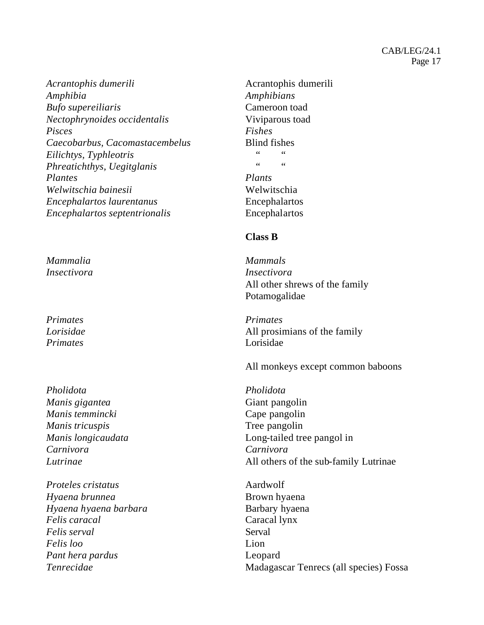#### CAB/LEG/24.1 Page 17

*Acrantophis dumerili* Acrantophis dumerili *Amphibia Amphibians Bufo supereiliaris* Cameroon toad *Nectophrynoides occidentalis* Viviparous toad *Pisces Fishes Caecobarbus, Cacomastacembelus* Blind fishes *Eilichtys, Typhleotris* " " "  $Phreatically, Uegitglanis$ *Plantes Plants Welwitschia bainesii* Welwitschia *Encephalartos laurentanus* Encephalartos *Encephalartos septentrionalis* Encephalartos

*Mammalia Mammals*

- *Pholidota Pholidota Manis gigantea* Giant pangolin *Manis temmincki* Cape pangolin *Manis tricuspis* Tree pangolin *Carnivora Carnivora*
- *Proteles cristatus* Aardwolf *Hyaena brunnea* Brown hyaena *Hyaena hyaena barbara* Barbary hyaena *Felis caracal* Caracal lynx *Felis serval* Serval *Felis loo* Lion *Pant hera pardus* Leopard

#### **Class B**

*Insectivora Insectivora* All other shrews of the family Potamogalidae

*Primates Primates Lorisidae* All prosimians of the family *Primates* Lorisidae

All monkeys except common baboons

*Manis longicaudata* Long-tailed tree pangol in *Lutrinae* All others of the sub-family Lutrinae

*Tenrecidae* Madagascar Tenrecs (all species) Fossa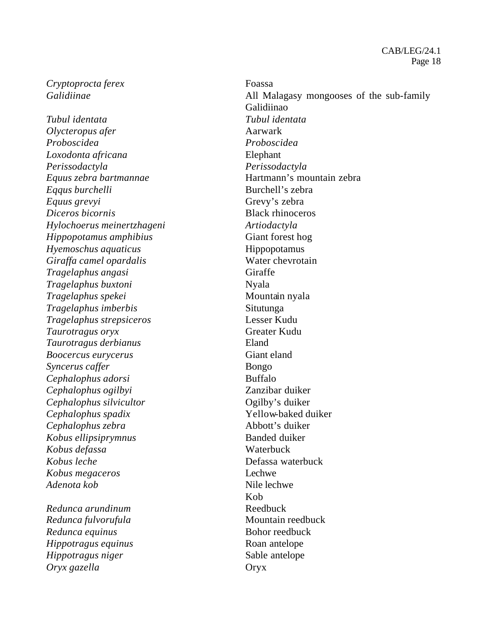# *Cryptoprocta ferex* Foassa

*Tubul identata Tubul identata Olycteropus afer* Aarwark *Proboscidea Proboscidea Loxodonta africana* Elephant *Perissodactyla Perissodactyla Equus zebra bartmannae* Hartmann's mountain zebra *Eqqus burchelli* Burchell's zebra *Equus grevyi* Grevy's zebra *Diceros bicornis* Black rhinoceros *Hylochoerus meinertzhageni Artiodactyla Hippopotamus amphibius* Giant forest hog *Hyemoschus aquaticus* **Hippopotamus** *Giraffa camel opardalis* Water chevrotain *Tragelaphus angasi* Giraffe *Tragelaphus buxtoni* Nyala *Tragelaphus spekei* Mountain nyala *Tragelaphus imberbis* Situtunga *Tragelaphus strepsiceros* Lesser Kudu *Taurotragus oryx* Greater Kudu *Taurotragus derbianus* Eland *Boocercus eurycerus* Giant eland *Syncerus caffer* Bongo *Cephalophus adorsi* Buffalo *Cephalophus ogilbyi* Zanzibar duiker *Cephalophus silvicultor* Ogilby's duiker *Cephalophus spadix* Yellow-baked duiker *Cephalophus zebra* Abbott's duiker *Kobus ellipsiprymnus* Banded duiker *Kobus defassa* Waterbuck *Kobus leche* Defassa waterbuck *Kobus megaceros* Lechwe *Adenota kob* Nile lechwe

*Redunca arundinum* Reedbuck *Redunca fulvorufula* Mountain reedbuck *Redunca equinus* Bohor reedbuck *Hippotragus equinus* Roan antelope *Hippotragus niger* Sable antelope *Oryx gazella* Oryx

*Galidiinae* All Malagasy mongooses of the sub-family Galidiinao Kob